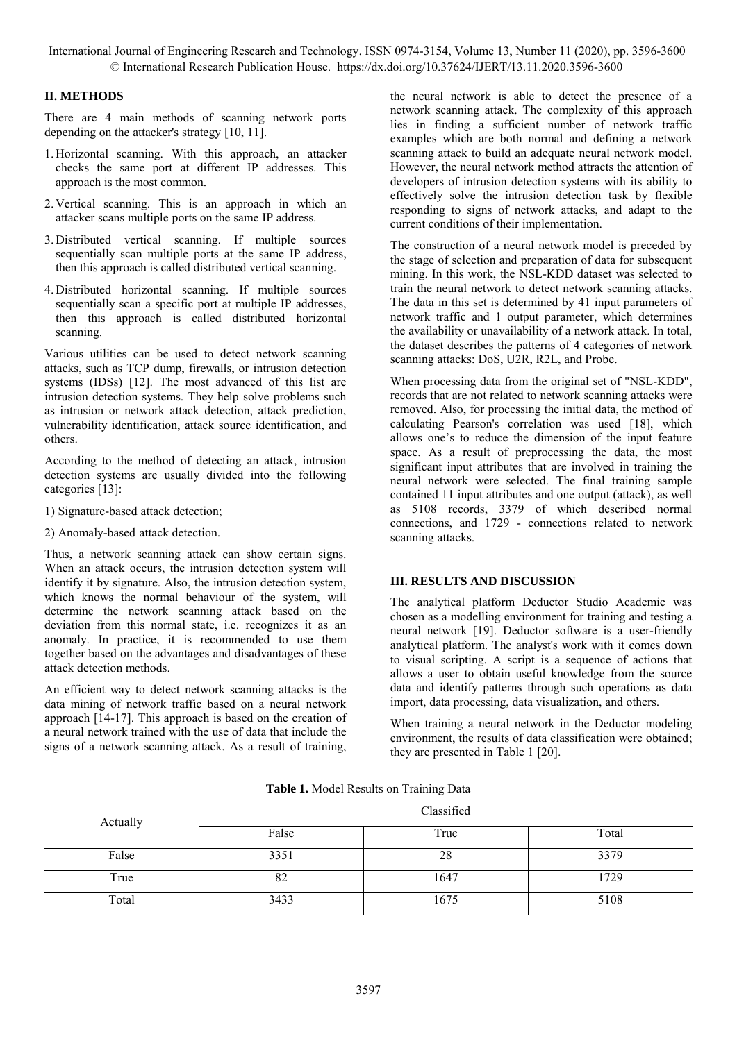# **II. METHODS**

There are 4 main methods of scanning network ports depending on the attacker's strategy [10, 11].

- 1. Horizontal scanning. With this approach, an attacker checks the same port at different IP addresses. This approach is the most common.
- 2. Vertical scanning. This is an approach in which an attacker scans multiple ports on the same IP address.
- 3. Distributed vertical scanning. If multiple sources sequentially scan multiple ports at the same IP address. then this approach is called distributed vertical scanning.
- 4. Distributed horizontal scanning. If multiple sources sequentially scan a specific port at multiple IP addresses, then this approach is called distributed horizontal scanning.

Various utilities can be used to detect network scanning attacks, such as TCP dump, firewalls, or intrusion detection systems (IDSs) [12]. The most advanced of this list are intrusion detection systems. They help solve problems such as intrusion or network attack detection, attack prediction, vulnerability identification, attack source identification, and others.

According to the method of detecting an attack, intrusion detection systems are usually divided into the following categories [13]:

- 1) Signature-based attack detection;
- 2) Anomaly-based attack detection.

Thus, a network scanning attack can show certain signs. When an attack occurs, the intrusion detection system will identify it by signature. Also, the intrusion detection system, which knows the normal behaviour of the system, will determine the network scanning attack based on the deviation from this normal state, i.e. recognizes it as an anomaly. In practice, it is recommended to use them together based on the advantages and disadvantages of these attack detection methods.

An efficient way to detect network scanning attacks is the data mining of network traffic based on a neural network approach [14-17]. This approach is based on the creation of a neural network trained with the use of data that include the signs of a network scanning attack. As a result of training,

the neural network is able to detect the presence of a network scanning attack. The complexity of this approach lies in finding a sufficient number of network traffic examples which are both normal and defining a network scanning attack to build an adequate neural network model. However, the neural network method attracts the attention of developers of intrusion detection systems with its ability to effectively solve the intrusion detection task by flexible responding to signs of network attacks, and adapt to the current conditions of their implementation.

The construction of a neural network model is preceded by the stage of selection and preparation of data for subsequent mining. In this work, the NSL-KDD dataset was selected to train the neural network to detect network scanning attacks. The data in this set is determined by 41 input parameters of network traffic and 1 output parameter, which determines the availability or unavailability of a network attack. In total, the dataset describes the patterns of 4 categories of network scanning attacks: DoS, U2R, R2L, and Probe.

When processing data from the original set of "NSL-KDD", records that are not related to network scanning attacks were removed. Also, for processing the initial data, the method of calculating Pearson's correlation was used [18], which allows one's to reduce the dimension of the input feature space. As a result of preprocessing the data, the most significant input attributes that are involved in training the neural network were selected. The final training sample contained 11 input attributes and one output (attack), as well as 5108 records, 3379 of which described normal connections, and 1729 - connections related to network scanning attacks.

## **III. RESULTS AND DISCUSSION**

The analytical platform Deductor Studio Academic was chosen as a modelling environment for training and testing a neural network [19]. Deductor software is a user-friendly analytical platform. The analyst's work with it comes down to visual scripting. A script is a sequence of actions that allows a user to obtain useful knowledge from the source data and identify patterns through such operations as data import, data processing, data visualization, and others.

When training a neural network in the Deductor modeling environment, the results of data classification were obtained; they are presented in Table 1 [20].

| Actually | Classified |      |       |
|----------|------------|------|-------|
|          | False      | True | Total |
| False    | 3351       | 28   | 3379  |
| True     | 82         | 1647 | 1729  |
| Total    | 3433       | 1675 | 5108  |

**Table 1.** Model Results on Training Data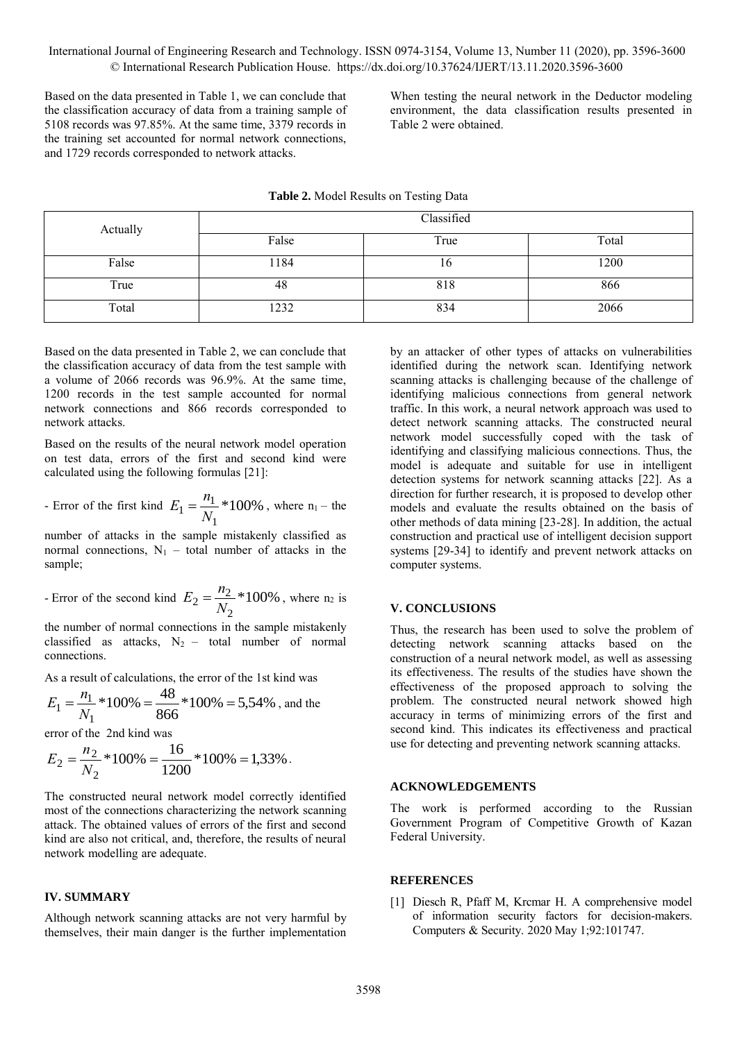Based on the data presented in Table 1, we can conclude that the classification accuracy of data from a training sample of 5108 records was 97.85%. At the same time, 3379 records in the training set accounted for normal network connections, and 1729 records corresponded to network attacks.

When testing the neural network in the Deductor modeling environment, the data classification results presented in Table 2 were obtained.

| Actually | Classified |      |       |  |
|----------|------------|------|-------|--|
|          | False      | True | Total |  |
| False    | 1184       | 10   | 1200  |  |
| True     | 48         | 818  | 866   |  |
| Total    | 1232       | 834  | 2066  |  |

**Table 2.** Model Results on Testing Data

Based on the data presented in Table 2, we can conclude that the classification accuracy of data from the test sample with a volume of 2066 records was 96.9%. At the same time, 1200 records in the test sample accounted for normal network connections and 866 records corresponded to network attacks.

Based on the results of the neural network model operation on test data, errors of the first and second kind were calculated using the following formulas [21]:

- Error of the first kind 
$$
E_1 = \frac{n_1}{N_1} * 100\%
$$
, where  $n_1$  - the

number of attacks in the sample mistakenly classified as normal connections,  $N_1$  – total number of attacks in the sample;

Error of the second kind 
$$
E_2 = \frac{n_2}{N_2} * 100\%
$$
, where n<sub>2</sub> is

the number of normal connections in the sample mistakenly classified as attacks,  $N_2$  – total number of normal connections.

As a result of calculations, the error of the 1st kind was

$$
E_1 = \frac{n_1}{N_1} * 100\% = \frac{48}{866} * 100\% = 5,54\%
$$
, and the

error of the 2nd kind was

$$
E_2 = \frac{n_2}{N_2} * 100\% = \frac{16}{1200} * 100\% = 1,33\%.
$$

The constructed neural network model correctly identified most of the connections characterizing the network scanning attack. The obtained values of errors of the first and second kind are also not critical, and, therefore, the results of neural network modelling are adequate.

#### **IV. SUMMARY**

Although network scanning attacks are not very harmful by themselves, their main danger is the further implementation

by an attacker of other types of attacks on vulnerabilities identified during the network scan. Identifying network scanning attacks is challenging because of the challenge of identifying malicious connections from general network traffic. In this work, a neural network approach was used to detect network scanning attacks. The constructed neural network model successfully coped with the task of identifying and classifying malicious connections. Thus, the model is adequate and suitable for use in intelligent detection systems for network scanning attacks [22]. As a direction for further research, it is proposed to develop other models and evaluate the results obtained on the basis of other methods of data mining [23-28]. In addition, the actual construction and practical use of intelligent decision support systems [29-34] to identify and prevent network attacks on computer systems.

### **V. CONCLUSIONS**

Thus, the research has been used to solve the problem of detecting network scanning attacks based on the construction of a neural network model, as well as assessing its effectiveness. The results of the studies have shown the effectiveness of the proposed approach to solving the problem. The constructed neural network showed high accuracy in terms of minimizing errors of the first and second kind. This indicates its effectiveness and practical use for detecting and preventing network scanning attacks.

#### **ACKNOWLEDGEMENTS**

The work is performed according to the Russian Government Program of Competitive Growth of Kazan Federal University.

#### **REFERENCES**

[1] Diesch R, Pfaff M, Krcmar H. A comprehensive model of information security factors for decision-makers. Computers & Security. 2020 May 1;92:101747.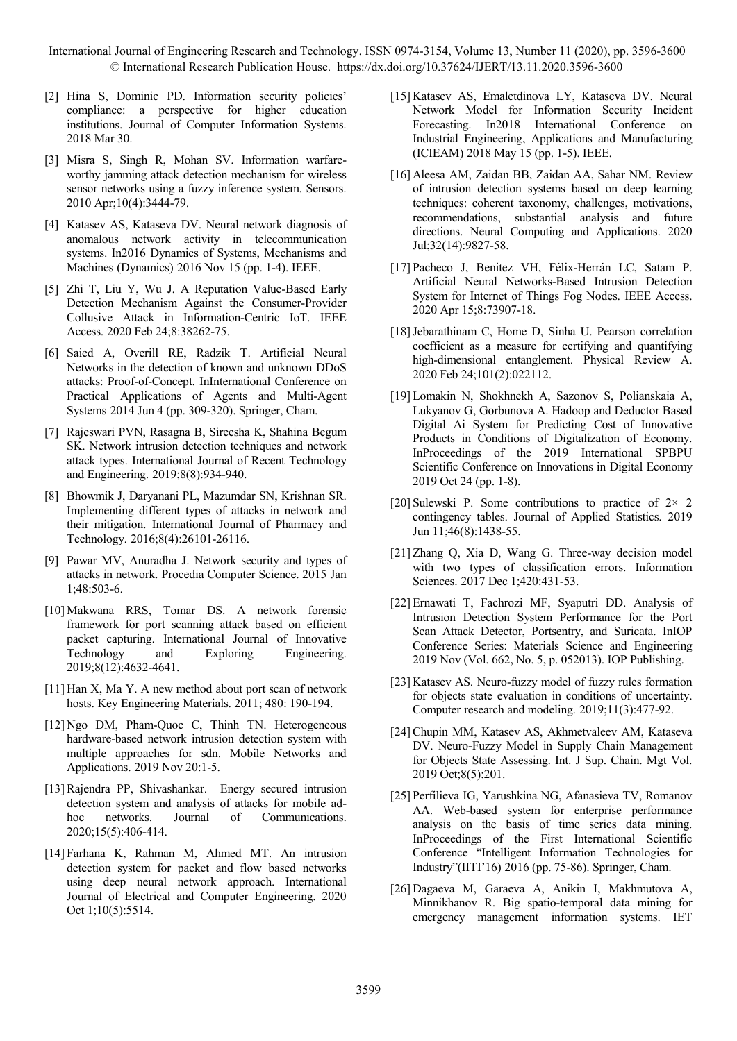- [2] Hina S, Dominic PD. Information security policies' compliance: a perspective for higher education institutions. Journal of Computer Information Systems. 2018 Mar 30.
- [3] Misra S, Singh R, Mohan SV. Information warfareworthy jamming attack detection mechanism for wireless sensor networks using a fuzzy inference system. Sensors. 2010 Apr;10(4):3444-79.
- [4] Katasev AS, Kataseva DV. Neural network diagnosis of anomalous network activity in telecommunication systems. In2016 Dynamics of Systems, Mechanisms and Machines (Dynamics) 2016 Nov 15 (pp. 1-4). IEEE.
- [5] Zhi T, Liu Y, Wu J. A Reputation Value-Based Early Detection Mechanism Against the Consumer-Provider Collusive Attack in Information-Centric IoT. IEEE Access. 2020 Feb 24;8:38262-75.
- [6] Saied A, Overill RE, Radzik T. Artificial Neural Networks in the detection of known and unknown DDoS attacks: Proof-of-Concept. InInternational Conference on Practical Applications of Agents and Multi-Agent Systems 2014 Jun 4 (pp. 309-320). Springer, Cham.
- [7] Rajeswari PVN, Rasagna B, Sireesha K, Shahina Begum SK. Network intrusion detection techniques and network attack types. International Journal of Recent Technology and Engineering. 2019;8(8):934-940.
- [8] Bhowmik J, Daryanani PL, Mazumdar SN, Krishnan SR. Implementing different types of attacks in network and their mitigation. International Journal of Pharmacy and Technology. 2016;8(4):26101-26116.
- [9] Pawar MV, Anuradha J. Network security and types of attacks in network. Procedia Computer Science. 2015 Jan 1;48:503-6.
- [10] Makwana RRS, Tomar DS. A network forensic framework for port scanning attack based on efficient packet capturing. International Journal of Innovative Technology and Exploring Engineering. 2019;8(12):4632-4641.
- [11] Han X, Ma Y. A new method about port scan of network hosts. Key Engineering Materials. 2011; 480: 190-194.
- [12] Ngo DM, Pham-Quoc C, Thinh TN. Heterogeneous hardware-based network intrusion detection system with multiple approaches for sdn. Mobile Networks and Applications. 2019 Nov 20:1-5.
- [13]Rajendra PP, Shivashankar. Energy secured intrusion detection system and analysis of attacks for mobile adhoc networks. Journal of Communications. 2020;15(5):406-414.
- [14] Farhana K, Rahman M, Ahmed MT. An intrusion detection system for packet and flow based networks using deep neural network approach. International Journal of Electrical and Computer Engineering. 2020 Oct 1;10(5):5514.
- [15] Katasev AS, Emaletdinova LY, Kataseva DV. Neural Network Model for Information Security Incident Forecasting. In2018 International Conference on Industrial Engineering, Applications and Manufacturing (ICIEAM) 2018 May 15 (pp. 1-5). IEEE.
- [16] Aleesa AM, Zaidan BB, Zaidan AA, Sahar NM. Review of intrusion detection systems based on deep learning techniques: coherent taxonomy, challenges, motivations, recommendations, substantial analysis and future directions. Neural Computing and Applications. 2020 Jul;32(14):9827-58.
- [17] Pacheco J, Benitez VH, Félix-Herrán LC, Satam P. Artificial Neural Networks-Based Intrusion Detection System for Internet of Things Fog Nodes. IEEE Access. 2020 Apr 15;8:73907-18.
- [18] Jebarathinam C, Home D, Sinha U. Pearson correlation coefficient as a measure for certifying and quantifying high-dimensional entanglement. Physical Review A. 2020 Feb 24;101(2):022112.
- [19] Lomakin N, Shokhnekh A, Sazonov S, Polianskaia A, Lukyanov G, Gorbunova A. Hadoop and Deductor Based Digital Ai System for Predicting Cost of Innovative Products in Conditions of Digitalization of Economy. InProceedings of the 2019 International SPBPU Scientific Conference on Innovations in Digital Economy 2019 Oct 24 (pp. 1-8).
- [20] Sulewski P. Some contributions to practice of  $2 \times 2$ contingency tables. Journal of Applied Statistics. 2019 Jun 11;46(8):1438-55.
- [21] Zhang Q, Xia D, Wang G. Three-way decision model with two types of classification errors. Information Sciences. 2017 Dec 1;420:431-53.
- [22] Ernawati T, Fachrozi MF, Syaputri DD. Analysis of Intrusion Detection System Performance for the Port Scan Attack Detector, Portsentry, and Suricata. InIOP Conference Series: Materials Science and Engineering 2019 Nov (Vol. 662, No. 5, p. 052013). IOP Publishing.
- [23] Katasev AS. Neuro-fuzzy model of fuzzy rules formation for objects state evaluation in conditions of uncertainty. Computer research and modeling. 2019;11(3):477-92.
- [24]Chupin MM, Katasev AS, Akhmetvaleev AM, Kataseva DV. Neuro-Fuzzy Model in Supply Chain Management for Objects State Assessing. Int. J Sup. Chain. Mgt Vol. 2019 Oct;8(5):201.
- [25] Perfilieva IG, Yarushkina NG, Afanasieva TV, Romanov AA. Web-based system for enterprise performance analysis on the basis of time series data mining. InProceedings of the First International Scientific Conference "Intelligent Information Technologies for Industry"(IITI'16) 2016 (pp. 75-86). Springer, Cham.
- [26] Dagaeva M, Garaeva A, Anikin I, Makhmutova A, Minnikhanov R. Big spatio-temporal data mining for emergency management information systems. IET